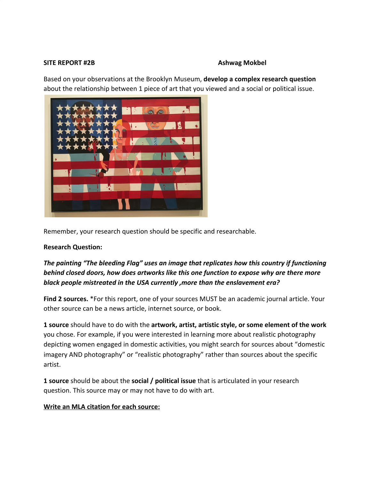#### **SITE REPORT #2B Ashwag Mokbel**

Based on your observations at the Brooklyn Museum, **develop a complex research question** about the relationship between 1 piece of art that you viewed and a social or political issue.



Remember, your research question should be specific and researchable.

## **Research Question:**

# *The painting "The bleeding Flag" uses an image that replicates how this country if functioning behind closed doors, how does artworks like this one function to expose why are there more black people mistreated in the USA currently ,more than the enslavement era?*

**Find 2 sources.** \*For this report, one of your sources MUST be an academic journal article. Your other source can be a news article, internet source, or book.

**1 source** should have to do with the **artwork, artist, artistic style, or some element of the work** you chose. For example, if you were interested in learning more about realistic photography depicting women engaged in domestic activities, you might search for sources about "domestic imagery AND photography" or "realistic photography" rather than sources about the specific artist.

**1 source** should be about the **social / political issue** that is articulated in your research question. This source may or may not have to do with art.

## **Write an MLA citation for each source:**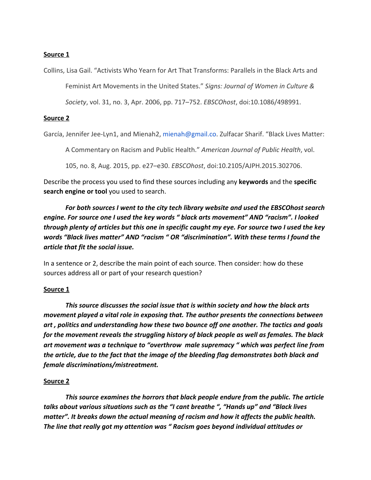## **Source 1**

Collins, Lisa Gail. "Activists Who Yearn for Art That Transforms: Parallels in the Black Arts and

Feminist Art Movements in the United States." *Signs: Journal of Women in Culture &*

*Society*, vol. 31, no. 3, Apr. 2006, pp. 717–752. *EBSCOhost*, doi:10.1086/498991.

#### **Source 2**

García, Jennifer Jee-Lyn1, and Mienah2, mienah@gmail.co. Zulfacar Sharif. "Black Lives Matter:

A Commentary on Racism and Public Health." *American Journal of Public Health*, vol.

105, no. 8, Aug. 2015, pp. e27–e30. *EBSCOhost*, doi:10.2105/AJPH.2015.302706.

Describe the process you used to find these sources including any **keywords** and the **specific search engine or tool** you used to search.

*For both sources I went to the city tech library website and used the EBSCOhost search engine. For source one I used the key words " black arts movement" AND "racism". I looked through plenty of articles but this one in specific caught my eye. For source two I used the key words "Black lives matter" AND "racism " OR "discrimination". With these terms I found the article that fit the social issue.*

In a sentence or 2, describe the main point of each source. Then consider: how do these sources address all or part of your research question?

## **Source 1**

*This source discusses the social issue that is within society and how the black arts movement played a vital role in exposing that. The author presents the connections between art , politics and understanding how these two bounce off one another. The tactics and goals for the movement reveals the struggling history of black people as well as females. The black art movement was a technique to "overthrow male supremacy " which was perfect line from the article, due to the fact that the image of the bleeding flag demonstrates both black and female discriminations/mistreatment.*

## **Source 2**

*This source examines the horrors that black people endure from the public. The article talks about various situations such as the "I cant breathe ", "Hands up" and "Black lives matter". It breaks down the actual meaning of racism and how it affects the public health. The line that really got my attention was " Racism goes beyond individual attitudes or*